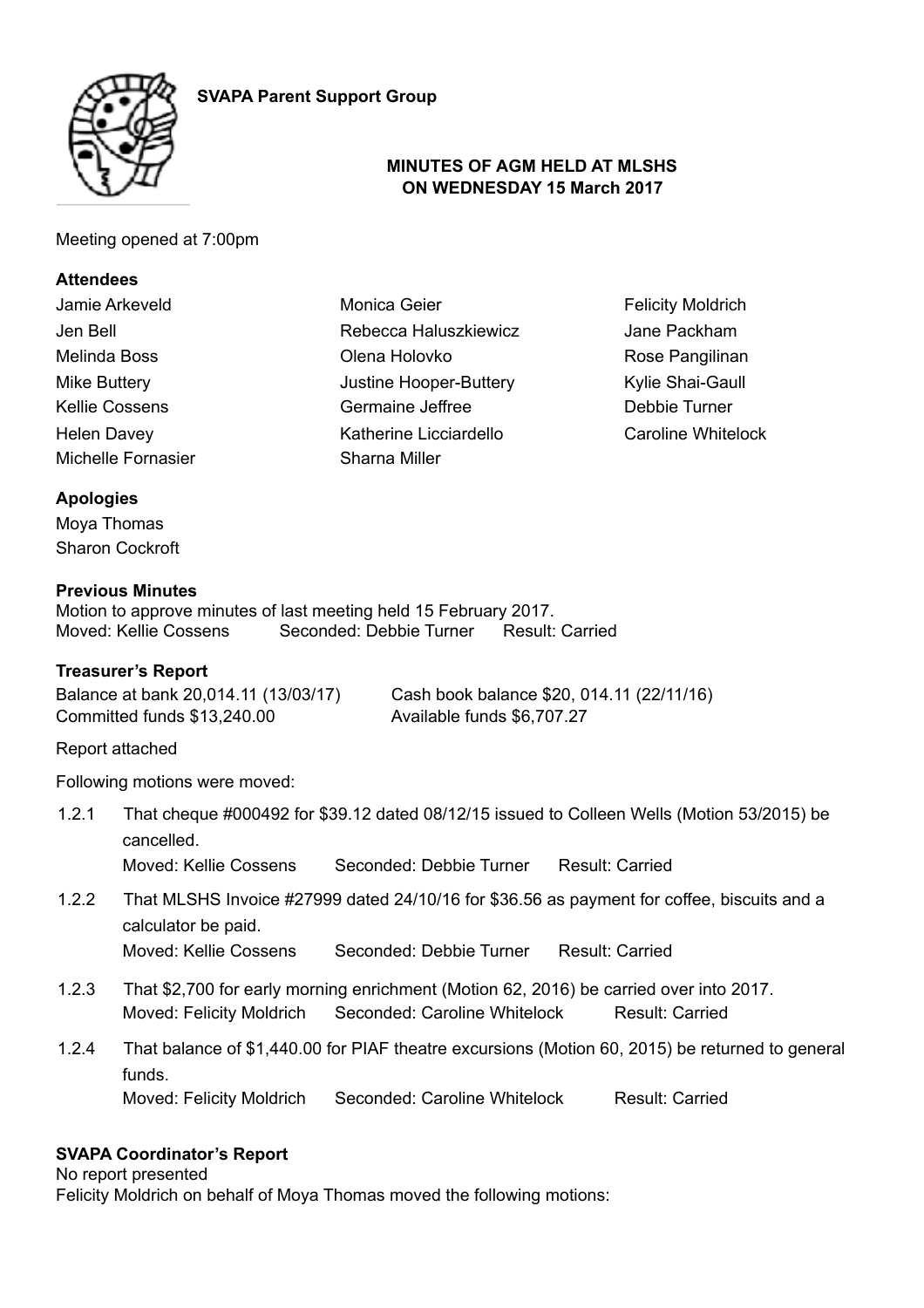



#### **MINUTES OF AGM HELD AT MLSHS ON WEDNESDAY 15 March 2017**

Meeting opened at 7:00pm

## **Attendees**

| Jamie Arkeveld     | Monica Geier           | <b>Felicity Moldrich</b>  |
|--------------------|------------------------|---------------------------|
| Jen Bell           | Rebecca Haluszkiewicz  | Jane Packham              |
| Melinda Boss       | Olena Holovko          | Rose Pangilinan           |
| Mike Buttery       | Justine Hooper-Buttery | Kylie Shai-Gaull          |
| Kellie Cossens     | Germaine Jeffree       | Debbie Turner             |
| <b>Helen Davey</b> | Katherine Licciardello | <b>Caroline Whitelock</b> |
| Michelle Fornasier | Sharna Miller          |                           |
|                    |                        |                           |

# **Apologies**

Moya Thomas Sharon Cockroft

#### **Previous Minutes**

Motion to approve minutes of last meeting held 15 February 2017. Moved: Kellie Cossens Seconded: Debbie Turner Result: Carried

#### **Treasurer's Report**

Committed funds \$13,240.00 Available funds \$6,707.27

Balance at bank 20,014.11 (13/03/17) Cash book balance \$20, 014.11 (22/11/16)

Report attached

Following motions were moved:

1.2.1 That cheque #000492 for \$39.12 dated 08/12/15 issued to Colleen Wells (Motion 53/2015) be cancelled.

Moved: Kellie Cossens Seconded: Debbie Turner Result: Carried

- 1.2.2 That MLSHS Invoice #27999 dated 24/10/16 for \$36.56 as payment for coffee, biscuits and a calculator be paid. Moved: Kellie Cossens Seconded: Debbie Turner Result: Carried
- 1.2.3 That \$2,700 for early morning enrichment (Motion 62, 2016) be carried over into 2017. Moved: Felicity Moldrich Seconded: Caroline Whitelock Result: Carried
- 1.2.4 That balance of \$1,440.00 for PIAF theatre excursions (Motion 60, 2015) be returned to general funds. Moved: Felicity Moldrich Seconded: Caroline Whitelock Result: Carried

#### **SVAPA Coordinator's Report**

No report presented

Felicity Moldrich on behalf of Moya Thomas moved the following motions: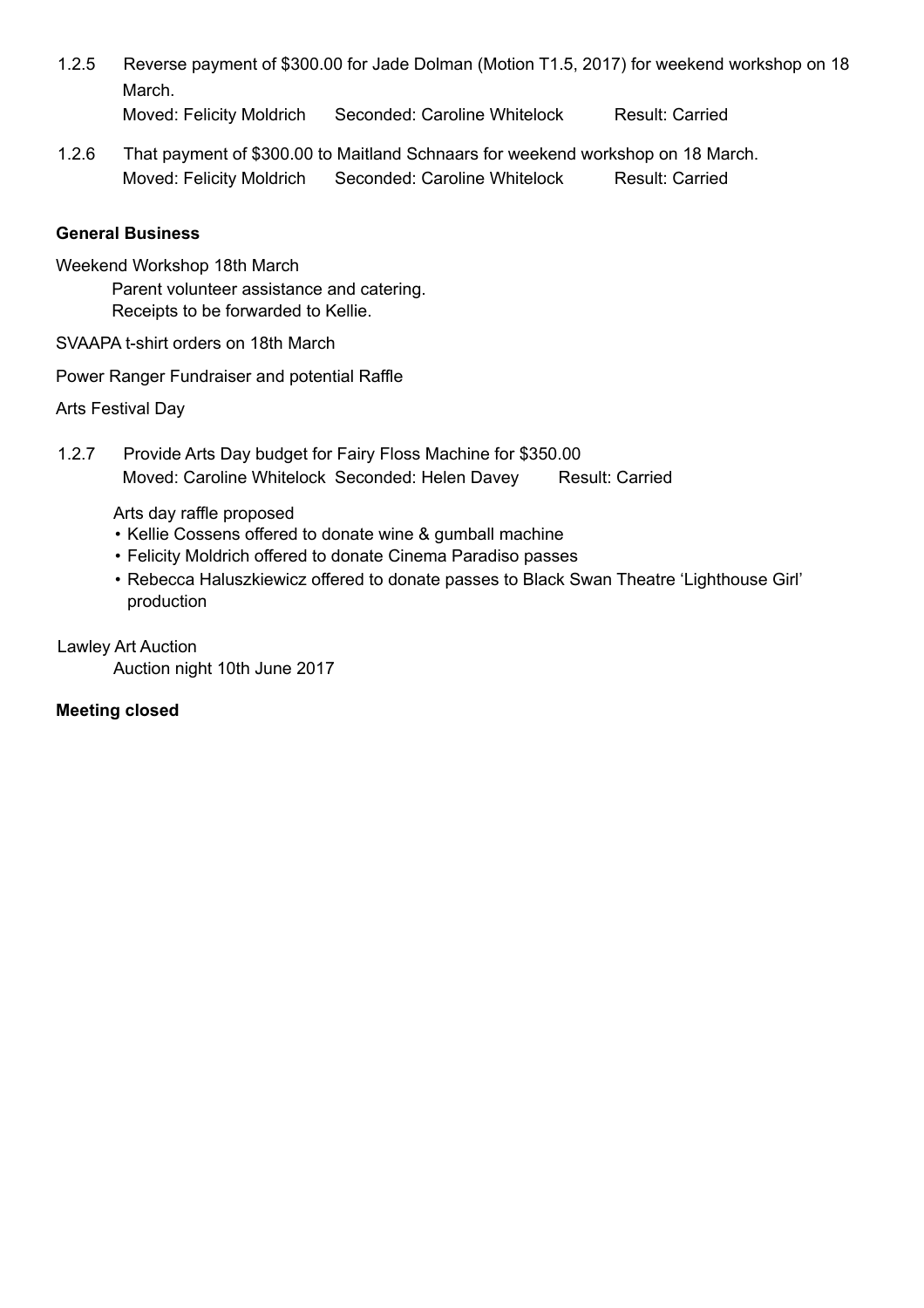1.2.5 Reverse payment of \$300.00 for Jade Dolman (Motion T1.5, 2017) for weekend workshop on 18 March.

Moved: Felicity Moldrich Seconded: Caroline Whitelock Result: Carried

1.2.6 That payment of \$300.00 to Maitland Schnaars for weekend workshop on 18 March. Moved: Felicity Moldrich Seconded: Caroline Whitelock Result: Carried

## **General Business**

Weekend Workshop 18th March

Parent volunteer assistance and catering. Receipts to be forwarded to Kellie.

SVAAPA t-shirt orders on 18th March

Power Ranger Fundraiser and potential Raffle

Arts Festival Day

1.2.7 Provide Arts Day budget for Fairy Floss Machine for \$350.00 Moved: Caroline Whitelock Seconded: Helen Davey Result: Carried

Arts day raffle proposed

- Kellie Cossens offered to donate wine & gumball machine
- Felicity Moldrich offered to donate Cinema Paradiso passes
- Rebecca Haluszkiewicz offered to donate passes to Black Swan Theatre 'Lighthouse Girl' production

Lawley Art Auction

Auction night 10th June 2017

#### **Meeting closed**